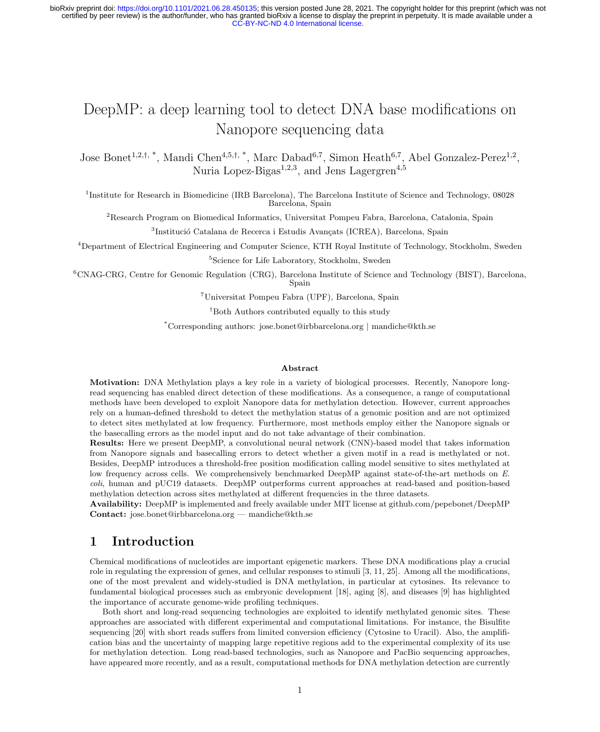# DeepMP: a deep learning tool to detect DNA base modifications on Nanopore sequencing data

Jose Bonet<sup>1,2,†,\*</sup>, Mandi Chen<sup>4,5,†,\*</sup>, Marc Dabad<sup>6,7</sup>, Simon Heath<sup>6,7</sup>, Abel Gonzalez-Perez<sup>1,2</sup>, Nuria Lopez-Bigas<sup>1,2,3</sup>, and Jens Lagergren<sup>4,5</sup>

<sup>1</sup>Institute for Research in Biomedicine (IRB Barcelona), The Barcelona Institute of Science and Technology, 08028 Barcelona, Spain

<sup>2</sup>Research Program on Biomedical Informatics, Universitat Pompeu Fabra, Barcelona, Catalonia, Spain

<sup>3</sup>Institució Catalana de Recerca i Estudis Avançats (ICREA), Barcelona, Spain

<sup>4</sup>Department of Electrical Engineering and Computer Science, KTH Royal Institute of Technology, Stockholm, Sweden

<sup>5</sup>Science for Life Laboratory, Stockholm, Sweden

<sup>6</sup>CNAG-CRG, Centre for Genomic Regulation (CRG), Barcelona Institute of Science and Technology (BIST), Barcelona, Spain

<sup>7</sup>Universitat Pompeu Fabra (UPF), Barcelona, Spain

†Both Authors contributed equally to this study

\*Corresponding authors: jose.bonet@irbbarcelona.org | mandiche@kth.se

#### Abstract

Motivation: DNA Methylation plays a key role in a variety of biological processes. Recently, Nanopore longread sequencing has enabled direct detection of these modifications. As a consequence, a range of computational methods have been developed to exploit Nanopore data for methylation detection. However, current approaches rely on a human-defined threshold to detect the methylation status of a genomic position and are not optimized to detect sites methylated at low frequency. Furthermore, most methods employ either the Nanopore signals or the basecalling errors as the model input and do not take advantage of their combination.

Results: Here we present DeepMP, a convolutional neural network (CNN)-based model that takes information from Nanopore signals and basecalling errors to detect whether a given motif in a read is methylated or not. Besides, DeepMP introduces a threshold-free position modification calling model sensitive to sites methylated at low frequency across cells. We comprehensively benchmarked DeepMP against state-of-the-art methods on E. coli, human and pUC19 datasets. DeepMP outperforms current approaches at read-based and position-based methylation detection across sites methylated at different frequencies in the three datasets.

Availability: DeepMP is implemented and freely available under MIT license at github.com/pepebonet/DeepMP Contact: jose.bonet@irbbarcelona.org — mandiche@kth.se

## 1 Introduction

Chemical modifications of nucleotides are important epigenetic markers. These DNA modifications play a crucial role in regulating the expression of genes, and cellular responses to stimuli [3, 11, 25]. Among all the modifications, one of the most prevalent and widely-studied is DNA methylation, in particular at cytosines. Its relevance to fundamental biological processes such as embryonic development [18], aging [8], and diseases [9] has highlighted the importance of accurate genome-wide profiling techniques.

Both short and long-read sequencing technologies are exploited to identify methylated genomic sites. These approaches are associated with different experimental and computational limitations. For instance, the Bisulfite sequencing [20] with short reads suffers from limited conversion efficiency (Cytosine to Uracil). Also, the amplification bias and the uncertainty of mapping large repetitive regions add to the experimental complexity of its use for methylation detection. Long read-based technologies, such as Nanopore and PacBio sequencing approaches, have appeared more recently, and as a result, computational methods for DNA methylation detection are currently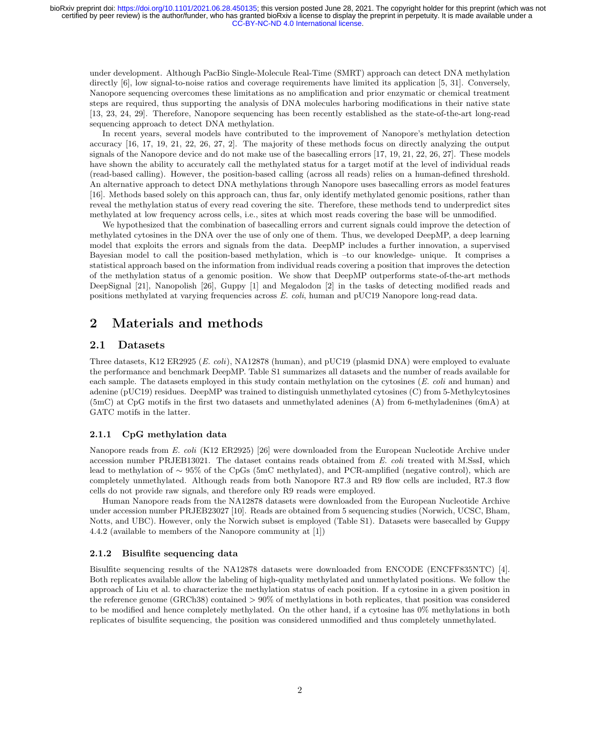under development. Although PacBio Single-Molecule Real-Time (SMRT) approach can detect DNA methylation directly [6], low signal-to-noise ratios and coverage requirements have limited its application [5, 31]. Conversely, Nanopore sequencing overcomes these limitations as no amplification and prior enzymatic or chemical treatment steps are required, thus supporting the analysis of DNA molecules harboring modifications in their native state [13, 23, 24, 29]. Therefore, Nanopore sequencing has been recently established as the state-of-the-art long-read sequencing approach to detect DNA methylation.

In recent years, several models have contributed to the improvement of Nanopore's methylation detection accuracy [16, 17, 19, 21, 22, 26, 27, 2]. The majority of these methods focus on directly analyzing the output signals of the Nanopore device and do not make use of the basecalling errors [17, 19, 21, 22, 26, 27]. These models have shown the ability to accurately call the methylated status for a target motif at the level of individual reads (read-based calling). However, the position-based calling (across all reads) relies on a human-defined threshold. An alternative approach to detect DNA methylations through Nanopore uses basecalling errors as model features [16]. Methods based solely on this approach can, thus far, only identify methylated genomic positions, rather than reveal the methylation status of every read covering the site. Therefore, these methods tend to underpredict sites methylated at low frequency across cells, i.e., sites at which most reads covering the base will be unmodified.

We hypothesized that the combination of basecalling errors and current signals could improve the detection of methylated cytosines in the DNA over the use of only one of them. Thus, we developed DeepMP, a deep learning model that exploits the errors and signals from the data. DeepMP includes a further innovation, a supervised Bayesian model to call the position-based methylation, which is –to our knowledge- unique. It comprises a statistical approach based on the information from individual reads covering a position that improves the detection of the methylation status of a genomic position. We show that DeepMP outperforms state-of-the-art methods DeepSignal [21], Nanopolish [26], Guppy [1] and Megalodon [2] in the tasks of detecting modified reads and positions methylated at varying frequencies across E. coli, human and pUC19 Nanopore long-read data.

## 2 Materials and methods

## 2.1 Datasets

Three datasets, K12 ER2925 (E. coli), NA12878 (human), and pUC19 (plasmid DNA) were employed to evaluate the performance and benchmark DeepMP. Table S1 summarizes all datasets and the number of reads available for each sample. The datasets employed in this study contain methylation on the cytosines (E. coli and human) and adenine (pUC19) residues. DeepMP was trained to distinguish unmethylated cytosines (C) from 5-Methylcytosines (5mC) at CpG motifs in the first two datasets and unmethylated adenines (A) from 6-methyladenines (6mA) at GATC motifs in the latter.

### 2.1.1 CpG methylation data

Nanopore reads from E. coli (K12 ER2925) [26] were downloaded from the European Nucleotide Archive under accession number PRJEB13021. The dataset contains reads obtained from E. coli treated with M.SssI, which lead to methylation of ∼ 95% of the CpGs (5mC methylated), and PCR-amplified (negative control), which are completely unmethylated. Although reads from both Nanopore R7.3 and R9 flow cells are included, R7.3 flow cells do not provide raw signals, and therefore only R9 reads were employed.

Human Nanopore reads from the NA12878 datasets were downloaded from the European Nucleotide Archive under accession number PRJEB23027 [10]. Reads are obtained from 5 sequencing studies (Norwich, UCSC, Bham, Notts, and UBC). However, only the Norwich subset is employed (Table S1). Datasets were basecalled by Guppy 4.4.2 (available to members of the Nanopore community at [1])

### 2.1.2 Bisulfite sequencing data

Bisulfite sequencing results of the NA12878 datasets were downloaded from ENCODE (ENCFF835NTC) [4]. Both replicates available allow the labeling of high-quality methylated and unmethylated positions. We follow the approach of Liu et al. to characterize the methylation status of each position. If a cytosine in a given position in the reference genome (GRCh38) contained > 90% of methylations in both replicates, that position was considered to be modified and hence completely methylated. On the other hand, if a cytosine has 0% methylations in both replicates of bisulfite sequencing, the position was considered unmodified and thus completely unmethylated.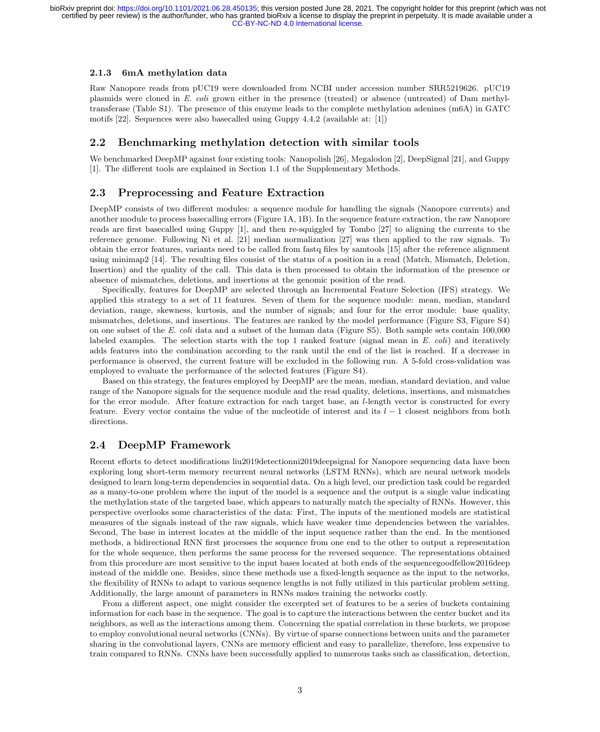#### 2.1.3 6mA methylation data

Raw Nanopore reads from pUC19 were downloaded from NCBI under accession number SRR5219626. pUC19 plasmids were cloned in E. coli grown either in the presence (treated) or absence (untreated) of Dam methyltransferase (Table S1). The presence of this enzyme leads to the complete methylation adenines (m6A) in GATC motifs [22]. Sequences were also basecalled using Guppy 4.4.2 (available at: [1])

## 2.2 Benchmarking methylation detection with similar tools

We benchmarked DeepMP against four existing tools: Nanopolish [26], Megalodon [2], DeepSignal [21], and Guppy [1]. The different tools are explained in Section 1.1 of the Supplementary Methods.

### 2.3 Preprocessing and Feature Extraction

DeepMP consists of two different modules: a sequence module for handling the signals (Nanopore currents) and another module to process basecalling errors (Figure 1A, 1B). In the sequence feature extraction, the raw Nanopore reads are first basecalled using Guppy [1], and then re-squiggled by Tombo [27] to aligning the currents to the reference genome. Following Ni et al. [21] median normalization [27] was then applied to the raw signals. To obtain the error features, variants need to be called from fastq files by samtools [15] after the reference alignment using minimap2 [14]. The resulting files consist of the status of a position in a read (Match, Mismatch, Deletion, Insertion) and the quality of the call. This data is then processed to obtain the information of the presence or absence of mismatches, deletions, and insertions at the genomic position of the read.

Specifically, features for DeepMP are selected through an Incremental Feature Selection (IFS) strategy. We applied this strategy to a set of 11 features. Seven of them for the sequence module: mean, median, standard deviation, range, skewness, kurtosis, and the number of signals; and four for the error module: base quality, mismatches, deletions, and insertions. The features are ranked by the model performance (Figure S3, Figure S4) on one subset of the E. coli data and a subset of the human data (Figure S5). Both sample sets contain 100,000 labeled examples. The selection starts with the top 1 ranked feature (signal mean in  $E.$  coli) and iteratively adds features into the combination according to the rank until the end of the list is reached. If a decrease in performance is observed, the current feature will be excluded in the following run. A 5-fold cross-validation was employed to evaluate the performance of the selected features (Figure S4).

Based on this strategy, the features employed by DeepMP are the mean, median, standard deviation, and value range of the Nanopore signals for the sequence module and the read quality, deletions, insertions, and mismatches for the error module. After feature extraction for each target base, an l-length vector is constructed for every feature. Every vector contains the value of the nucleotide of interest and its  $l-1$  closest neighbors from both directions.

### 2.4 DeepMP Framework

Recent efforts to detect modifications liu2019detectionni2019deepsignal for Nanopore sequencing data have been exploring long short-term memory recurrent neural networks (LSTM RNNs), which are neural network models designed to learn long-term dependencies in sequential data. On a high level, our prediction task could be regarded as a many-to-one problem where the input of the model is a sequence and the output is a single value indicating the methylation state of the targeted base, which appears to naturally match the specialty of RNNs. However, this perspective overlooks some characteristics of the data: First, The inputs of the mentioned models are statistical measures of the signals instead of the raw signals, which have weaker time dependencies between the variables. Second, The base in interest locates at the middle of the input sequence rather than the end. In the mentioned methods, a bidirectional RNN first processes the sequence from one end to the other to output a representation for the whole sequence, then performs the same process for the reversed sequence. The representations obtained from this procedure are most sensitive to the input bases located at both ends of the sequencegoodfellow2016deep instead of the middle one. Besides, since these methods use a fixed-length sequence as the input to the networks, the flexibility of RNNs to adapt to various sequence lengths is not fully utilized in this particular problem setting. Additionally, the large amount of parameters in RNNs makes training the networks costly.

From a different aspect, one might consider the excerpted set of features to be a series of buckets containing information for each base in the sequence. The goal is to capture the interactions between the center bucket and its neighbors, as well as the interactions among them. Concerning the spatial correlation in these buckets, we propose to employ convolutional neural networks (CNNs). By virtue of sparse connections between units and the parameter sharing in the convolutional layers, CNNs are memory efficient and easy to parallelize, therefore, less expensive to train compared to RNNs. CNNs have been successfully applied to numerous tasks such as classification, detection,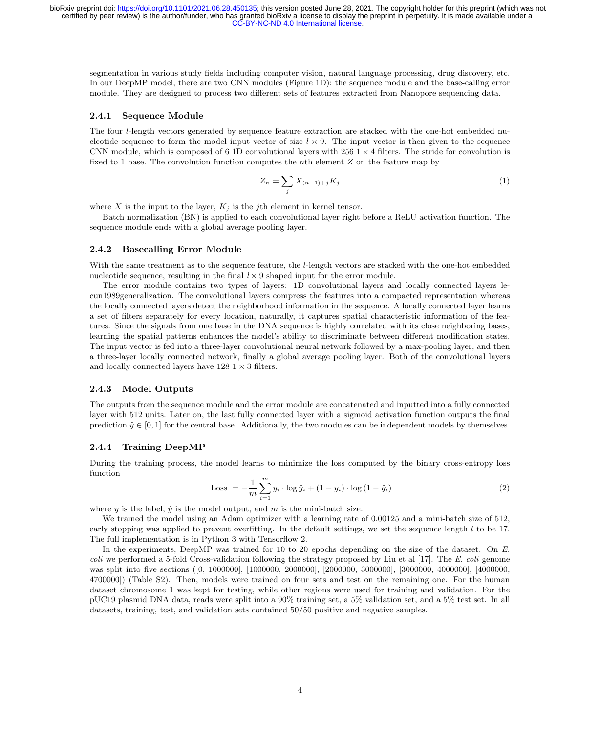segmentation in various study fields including computer vision, natural language processing, drug discovery, etc. In our DeepMP model, there are two CNN modules (Figure 1D): the sequence module and the base-calling error module. They are designed to process two different sets of features extracted from Nanopore sequencing data.

#### 2.4.1 Sequence Module

The four l-length vectors generated by sequence feature extraction are stacked with the one-hot embedded nucleotide sequence to form the model input vector of size  $l \times 9$ . The input vector is then given to the sequence CNN module, which is composed of 6 1D convolutional layers with  $256 \times 4$  filters. The stride for convolution is fixed to 1 base. The convolution function computes the nth element  $Z$  on the feature map by

$$
Z_n = \sum_j X_{(n-1)+j} K_j \tag{1}
$$

where X is the input to the layer,  $K_i$  is the jth element in kernel tensor.

Batch normalization (BN) is applied to each convolutional layer right before a ReLU activation function. The sequence module ends with a global average pooling layer.

#### 2.4.2 Basecalling Error Module

With the same treatment as to the sequence feature, the l-length vectors are stacked with the one-hot embedded nucleotide sequence, resulting in the final  $l \times 9$  shaped input for the error module.

The error module contains two types of layers: 1D convolutional layers and locally connected layers lecun1989generalization. The convolutional layers compress the features into a compacted representation whereas the locally connected layers detect the neighborhood information in the sequence. A locally connected layer learns a set of filters separately for every location, naturally, it captures spatial characteristic information of the features. Since the signals from one base in the DNA sequence is highly correlated with its close neighboring bases, learning the spatial patterns enhances the model's ability to discriminate between different modification states. The input vector is fed into a three-layer convolutional neural network followed by a max-pooling layer, and then a three-layer locally connected network, finally a global average pooling layer. Both of the convolutional layers and locally connected layers have  $128 \text{ 1} \times 3$  filters.

#### 2.4.3 Model Outputs

The outputs from the sequence module and the error module are concatenated and inputted into a fully connected layer with 512 units. Later on, the last fully connected layer with a sigmoid activation function outputs the final prediction  $\hat{y} \in [0, 1]$  for the central base. Additionally, the two modules can be independent models by themselves.

#### 2.4.4 Training DeepMP

During the training process, the model learns to minimize the loss computed by the binary cross-entropy loss function

Loss = 
$$
-\frac{1}{m} \sum_{i=1}^{m} y_i \cdot \log \hat{y}_i + (1 - y_i) \cdot \log (1 - \hat{y}_i)
$$
 (2)

where y is the label,  $\hat{y}$  is the model output, and m is the mini-batch size.

We trained the model using an Adam optimizer with a learning rate of 0.00125 and a mini-batch size of 512, early stopping was applied to prevent overfitting. In the default settings, we set the sequence length  $l$  to be 17. The full implementation is in Python 3 with Tensorflow 2.

In the experiments, DeepMP was trained for 10 to 20 epochs depending on the size of the dataset. On E. coli we performed a 5-fold Cross-validation following the strategy proposed by Liu et al  $[17]$ . The E. coli genome was split into five sections ([0, 1000000], [1000000, 2000000], [2000000, 3000000], [3000000, 4000000], [4000000, 4700000]) (Table S2). Then, models were trained on four sets and test on the remaining one. For the human dataset chromosome 1 was kept for testing, while other regions were used for training and validation. For the pUC19 plasmid DNA data, reads were split into a 90% training set, a 5% validation set, and a 5% test set. In all datasets, training, test, and validation sets contained 50/50 positive and negative samples.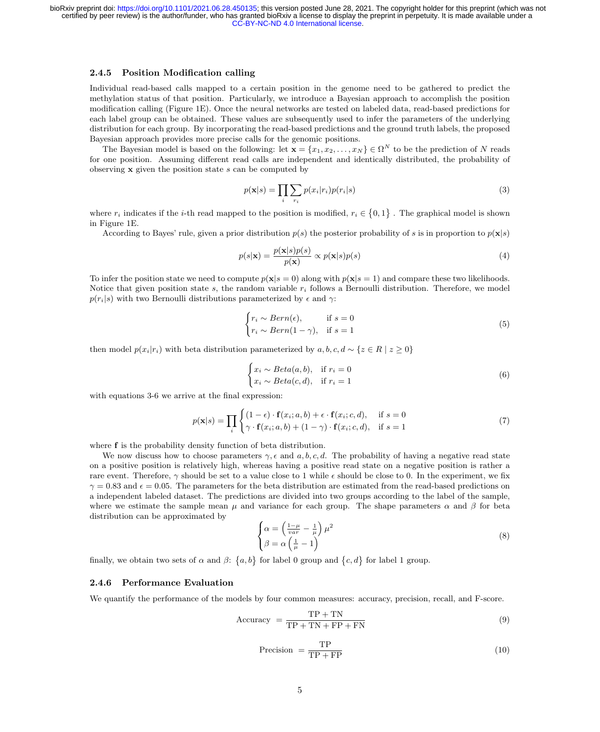#### 2.4.5 Position Modification calling

Individual read-based calls mapped to a certain position in the genome need to be gathered to predict the methylation status of that position. Particularly, we introduce a Bayesian approach to accomplish the position modification calling (Figure 1E). Once the neural networks are tested on labeled data, read-based predictions for each label group can be obtained. These values are subsequently used to infer the parameters of the underlying distribution for each group. By incorporating the read-based predictions and the ground truth labels, the proposed Bayesian approach provides more precise calls for the genomic positions.

The Bayesian model is based on the following: let  $\mathbf{x} = \{x_1, x_2, \ldots, x_N\} \in \Omega^N$  to be the prediction of N reads for one position. Assuming different read calls are independent and identically distributed, the probability of observing  $x$  given the position state  $s$  can be computed by

$$
p(\mathbf{x}|s) = \prod_{i} \sum_{r_i} p(x_i|r_i) p(r_i|s)
$$
\n(3)

where  $r_i$  indicates if the *i*-th read mapped to the position is modified,  $r_i \in \{0,1\}$ . The graphical model is shown in Figure 1E.

According to Bayes' rule, given a prior distribution  $p(s)$  the posterior probability of s is in proportion to  $p(\mathbf{x}|s)$ 

$$
p(s|\mathbf{x}) = \frac{p(\mathbf{x}|s)p(s)}{p(\mathbf{x})} \propto p(\mathbf{x}|s)p(s)
$$
\n(4)

To infer the position state we need to compute  $p(x|s = 0)$  along with  $p(x|s = 1)$  and compare these two likelihoods. Notice that given position state s, the random variable  $r_i$  follows a Bernoulli distribution. Therefore, we model  $p(r_i|s)$  with two Bernoulli distributions parameterized by  $\epsilon$  and  $\gamma$ :

$$
\begin{cases} r_i \sim Bern(\epsilon), & \text{if } s = 0\\ r_i \sim Bern(1 - \gamma), & \text{if } s = 1 \end{cases}
$$
 (5)

then model  $p(x_i|r_i)$  with beta distribution parameterized by  $a, b, c, d \sim \{z \in R \mid z \geq 0\}$ 

$$
\begin{cases} x_i \sim Beta(a, b), & \text{if } r_i = 0\\ x_i \sim Beta(c, d), & \text{if } r_i = 1 \end{cases}
$$
 (6)

with equations 3-6 we arrive at the final expression:

$$
p(\mathbf{x}|s) = \prod_{i} \begin{cases} (1 - \epsilon) \cdot \mathbf{f}(x_i; a, b) + \epsilon \cdot \mathbf{f}(x_i; c, d), & \text{if } s = 0\\ \gamma \cdot \mathbf{f}(x_i; a, b) + (1 - \gamma) \cdot \mathbf{f}(x_i; c, d), & \text{if } s = 1 \end{cases} \tag{7}
$$

where **f** is the probability density function of beta distribution.

We now discuss how to choose parameters  $\gamma$ ,  $\epsilon$  and  $a, b, c, d$ . The probability of having a negative read state on a positive position is relatively high, whereas having a positive read state on a negative position is rather a rare event. Therefore, γ should be set to a value close to 1 while  $\epsilon$  should be close to 0. In the experiment, we fix  $\gamma = 0.83$  and  $\epsilon = 0.05$ . The parameters for the beta distribution are estimated from the read-based predictions on a independent labeled dataset. The predictions are divided into two groups according to the label of the sample, where we estimate the sample mean  $\mu$  and variance for each group. The shape parameters  $\alpha$  and  $\beta$  for beta distribution can be approximated by

$$
\begin{cases}\n\alpha = \left(\frac{1-\mu}{var} - \frac{1}{\mu}\right)\mu^2 \\
\beta = \alpha \left(\frac{1}{\mu} - 1\right)\n\end{cases} (8)
$$

finally, we obtain two sets of  $\alpha$  and  $\beta$ :  $\{a, b\}$  for label 0 group and  $\{c, d\}$  for label 1 group.

#### 2.4.6 Performance Evaluation

We quantify the performance of the models by four common measures: accuracy, precision, recall, and F-score.

$$
Accuracy = \frac{TP + TN}{TP + TN + FP + FN}
$$
\n(9)

$$
Precision = \frac{TP}{TP + FP}
$$
\n(10)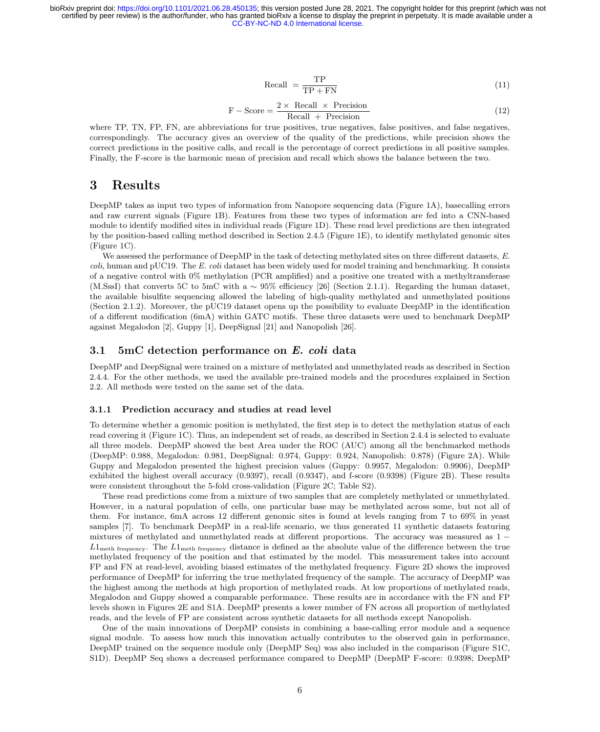$$
\text{Recall} = \frac{\text{TP}}{\text{TP} + \text{FN}}\tag{11}
$$

$$
F - Score = \frac{2 \times Recall \times Precision}{Recall + Precision}
$$
 (12)

where TP, TN, FP, FN, are abbreviations for true positives, true negatives, false positives, and false negatives, correspondingly. The accuracy gives an overview of the quality of the predictions, while precision shows the correct predictions in the positive calls, and recall is the percentage of correct predictions in all positive samples. Finally, the F-score is the harmonic mean of precision and recall which shows the balance between the two.

## 3 Results

DeepMP takes as input two types of information from Nanopore sequencing data (Figure 1A), basecalling errors and raw current signals (Figure 1B). Features from these two types of information are fed into a CNN-based module to identify modified sites in individual reads (Figure 1D). These read level predictions are then integrated by the position-based calling method described in Section 2.4.5 (Figure 1E), to identify methylated genomic sites (Figure 1C).

We assessed the performance of DeepMP in the task of detecting methylated sites on three different datasets, E.  $\text{coli}$ , human and pUC19. The E. coli dataset has been widely used for model training and benchmarking. It consists of a negative control with 0% methylation (PCR amplified) and a positive one treated with a methyltransferase (M.SssI) that converts 5C to 5mC with a ∼ 95% efficiency [26] (Section 2.1.1). Regarding the human dataset, the available bisulfite sequencing allowed the labeling of high-quality methylated and unmethylated positions (Section 2.1.2). Moreover, the pUC19 dataset opens up the possibility to evaluate DeepMP in the identification of a different modification (6mA) within GATC motifs. These three datasets were used to benchmark DeepMP against Megalodon [2], Guppy [1], DeepSignal [21] and Nanopolish [26].

### 3.1 5mC detection performance on E. coli data

DeepMP and DeepSignal were trained on a mixture of methylated and unmethylated reads as described in Section 2.4.4. For the other methods, we used the available pre-trained models and the procedures explained in Section 2.2. All methods were tested on the same set of the data.

#### 3.1.1 Prediction accuracy and studies at read level

To determine whether a genomic position is methylated, the first step is to detect the methylation status of each read covering it (Figure 1C). Thus, an independent set of reads, as described in Section 2.4.4 is selected to evaluate all three models. DeepMP showed the best Area under the ROC (AUC) among all the benchmarked methods (DeepMP: 0.988, Megalodon: 0.981, DeepSignal: 0.974, Guppy: 0.924, Nanopolish: 0.878) (Figure 2A). While Guppy and Megalodon presented the highest precision values (Guppy: 0.9957, Megalodon: 0.9906), DeepMP exhibited the highest overall accuracy (0.9397), recall (0.9347), and f-score (0.9398) (Figure 2B). These results were consistent throughout the 5-fold cross-validation (Figure 2C; Table S2).

These read predictions come from a mixture of two samples that are completely methylated or unmethylated. However, in a natural population of cells, one particular base may be methylated across some, but not all of them. For instance, 6mA across 12 different genomic sites is found at levels ranging from 7 to 69% in yeast samples [7]. To benchmark DeepMP in a real-life scenario, we thus generated 11 synthetic datasets featuring mixtures of methylated and unmethylated reads at different proportions. The accuracy was measured as 1 −  $L1_{\text{meth frequency}}$ . The  $L1_{\text{meth frequency}}$  distance is defined as the absolute value of the difference between the true methylated frequency of the position and that estimated by the model. This measurement takes into account FP and FN at read-level, avoiding biased estimates of the methylated frequency. Figure 2D shows the improved performance of DeepMP for inferring the true methylated frequency of the sample. The accuracy of DeepMP was the highest among the methods at high proportion of methylated reads. At low proportions of methylated reads, Megalodon and Guppy showed a comparable performance. These results are in accordance with the FN and FP levels shown in Figures 2E and S1A. DeepMP presents a lower number of FN across all proportion of methylated reads, and the levels of FP are consistent across synthetic datasets for all methods except Nanopolish.

One of the main innovations of DeepMP consists in combining a base-calling error module and a sequence signal module. To assess how much this innovation actually contributes to the observed gain in performance, DeepMP trained on the sequence module only (DeepMP Seq) was also included in the comparison (Figure S1C, S1D). DeepMP Seq shows a decreased performance compared to DeepMP (DeepMP F-score: 0.9398; DeepMP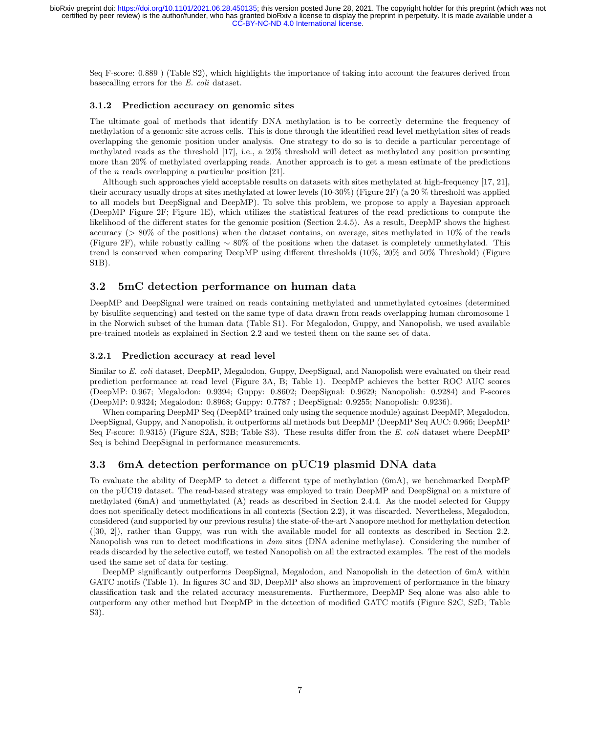Seq F-score: 0.889 ) (Table S2), which highlights the importance of taking into account the features derived from basecalling errors for the E. coli dataset.

#### 3.1.2 Prediction accuracy on genomic sites

The ultimate goal of methods that identify DNA methylation is to be correctly determine the frequency of methylation of a genomic site across cells. This is done through the identified read level methylation sites of reads overlapping the genomic position under analysis. One strategy to do so is to decide a particular percentage of methylated reads as the threshold [17], i.e., a 20% threshold will detect as methylated any position presenting more than 20% of methylated overlapping reads. Another approach is to get a mean estimate of the predictions of the  $n$  reads overlapping a particular position [21].

Although such approaches yield acceptable results on datasets with sites methylated at high-frequency [17, 21], their accuracy usually drops at sites methylated at lower levels (10-30%) (Figure 2F) (a 20 % threshold was applied to all models but DeepSignal and DeepMP). To solve this problem, we propose to apply a Bayesian approach (DeepMP Figure 2F; Figure 1E), which utilizes the statistical features of the read predictions to compute the likelihood of the different states for the genomic position (Section 2.4.5). As a result, DeepMP shows the highest accuracy (> 80% of the positions) when the dataset contains, on average, sites methylated in 10% of the reads (Figure 2F), while robustly calling ∼ 80% of the positions when the dataset is completely unmethylated. This trend is conserved when comparing DeepMP using different thresholds (10%, 20% and 50% Threshold) (Figure S1B).

### 3.2 5mC detection performance on human data

DeepMP and DeepSignal were trained on reads containing methylated and unmethylated cytosines (determined by bisulfite sequencing) and tested on the same type of data drawn from reads overlapping human chromosome 1 in the Norwich subset of the human data (Table S1). For Megalodon, Guppy, and Nanopolish, we used available pre-trained models as explained in Section 2.2 and we tested them on the same set of data.

#### 3.2.1 Prediction accuracy at read level

Similar to E. coli dataset, DeepMP, Megalodon, Guppy, DeepSignal, and Nanopolish were evaluated on their read prediction performance at read level (Figure 3A, B; Table 1). DeepMP achieves the better ROC AUC scores (DeepMP: 0.967; Megalodon: 0.9394; Guppy: 0.8602; DeepSignal: 0.9629; Nanopolish: 0.9284) and F-scores (DeepMP: 0.9324; Megalodon: 0.8968; Guppy: 0.7787 ; DeepSignal: 0.9255; Nanopolish: 0.9236).

When comparing DeepMP Seq (DeepMP trained only using the sequence module) against DeepMP, Megalodon, DeepSignal, Guppy, and Nanopolish, it outperforms all methods but DeepMP (DeepMP Seq AUC: 0.966; DeepMP Seq F-score: 0.9315) (Figure S2A, S2B; Table S3). These results differ from the E. coli dataset where DeepMP Seq is behind DeepSignal in performance measurements.

### 3.3 6mA detection performance on pUC19 plasmid DNA data

To evaluate the ability of DeepMP to detect a different type of methylation (6mA), we benchmarked DeepMP on the pUC19 dataset. The read-based strategy was employed to train DeepMP and DeepSignal on a mixture of methylated (6mA) and unmethylated (A) reads as described in Section 2.4.4. As the model selected for Guppy does not specifically detect modifications in all contexts (Section 2.2), it was discarded. Nevertheless, Megalodon, considered (and supported by our previous results) the state-of-the-art Nanopore method for methylation detection ([30, 2]), rather than Guppy, was run with the available model for all contexts as described in Section 2.2. Nanopolish was run to detect modifications in dam sites (DNA adenine methylase). Considering the number of reads discarded by the selective cutoff, we tested Nanopolish on all the extracted examples. The rest of the models used the same set of data for testing.

DeepMP significantly outperforms DeepSignal, Megalodon, and Nanopolish in the detection of 6mA within GATC motifs (Table 1). In figures 3C and 3D, DeepMP also shows an improvement of performance in the binary classification task and the related accuracy measurements. Furthermore, DeepMP Seq alone was also able to outperform any other method but DeepMP in the detection of modified GATC motifs (Figure S2C, S2D; Table S3).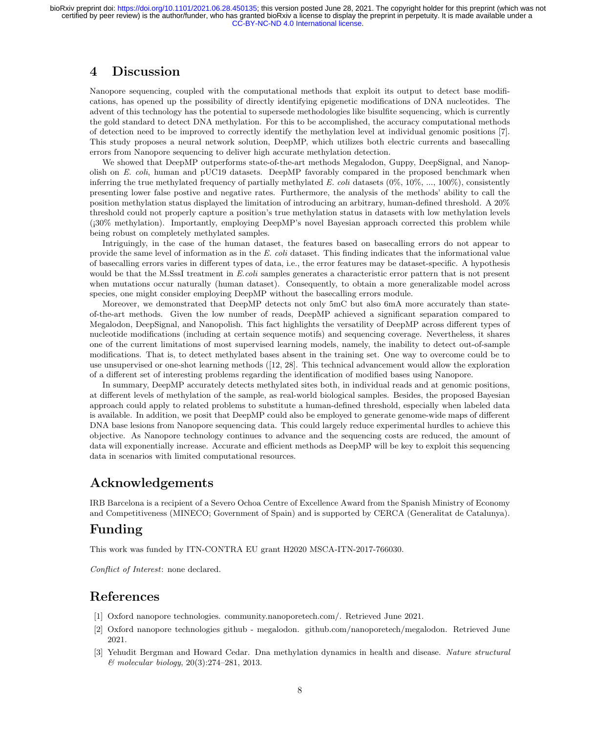## 4 Discussion

Nanopore sequencing, coupled with the computational methods that exploit its output to detect base modifications, has opened up the possibility of directly identifying epigenetic modifications of DNA nucleotides. The advent of this technology has the potential to supersede methodologies like bisulfite sequencing, which is currently the gold standard to detect DNA methylation. For this to be accomplished, the accuracy computational methods of detection need to be improved to correctly identify the methylation level at individual genomic positions [7]. This study proposes a neural network solution, DeepMP, which utilizes both electric currents and basecalling errors from Nanopore sequencing to deliver high accurate methylation detection.

We showed that DeepMP outperforms state-of-the-art methods Megalodon, Guppy, DeepSignal, and Nanopolish on E. coli, human and pUC19 datasets. DeepMP favorably compared in the proposed benchmark when inferring the true methylated frequency of partially methylated E. coli datasets  $(0\%, 10\%, ..., 100\%)$ , consistently presenting lower false postive and negative rates. Furthermore, the analysis of the methods' ability to call the position methylation status displayed the limitation of introducing an arbitrary, human-defined threshold. A 20% threshold could not properly capture a position's true methylation status in datasets with low methylation levels ( $130\%$  methylation). Importantly, employing DeepMP's novel Bayesian approach corrected this problem while being robust on completely methylated samples.

Intriguingly, in the case of the human dataset, the features based on basecalling errors do not appear to provide the same level of information as in the E. coli dataset. This finding indicates that the informational value of basecalling errors varies in different types of data, i.e., the error features may be dataset-specific. A hypothesis would be that the M.SssI treatment in E.coli samples generates a characteristic error pattern that is not present when mutations occur naturally (human dataset). Consequently, to obtain a more generalizable model across species, one might consider employing DeepMP without the basecalling errors module.

Moreover, we demonstrated that DeepMP detects not only 5mC but also 6mA more accurately than stateof-the-art methods. Given the low number of reads, DeepMP achieved a significant separation compared to Megalodon, DeepSignal, and Nanopolish. This fact highlights the versatility of DeepMP across different types of nucleotide modifications (including at certain sequence motifs) and sequencing coverage. Nevertheless, it shares one of the current limitations of most supervised learning models, namely, the inability to detect out-of-sample modifications. That is, to detect methylated bases absent in the training set. One way to overcome could be to use unsupervised or one-shot learning methods ([12, 28]. This technical advancement would allow the exploration of a different set of interesting problems regarding the identification of modified bases using Nanopore.

In summary, DeepMP accurately detects methylated sites both, in individual reads and at genomic positions, at different levels of methylation of the sample, as real-world biological samples. Besides, the proposed Bayesian approach could apply to related problems to substitute a human-defined threshold, especially when labeled data is available. In addition, we posit that DeepMP could also be employed to generate genome-wide maps of different DNA base lesions from Nanopore sequencing data. This could largely reduce experimental hurdles to achieve this objective. As Nanopore technology continues to advance and the sequencing costs are reduced, the amount of data will exponentially increase. Accurate and efficient methods as DeepMP will be key to exploit this sequencing data in scenarios with limited computational resources.

## Acknowledgements

IRB Barcelona is a recipient of a Severo Ochoa Centre of Excellence Award from the Spanish Ministry of Economy and Competitiveness (MINECO; Government of Spain) and is supported by CERCA (Generalitat de Catalunya).

## Funding

This work was funded by ITN-CONTRA EU grant H2020 MSCA-ITN-2017-766030.

Conflict of Interest: none declared.

## References

- [1] Oxford nanopore technologies. community.nanoporetech.com/. Retrieved June 2021.
- [2] Oxford nanopore technologies github megalodon. github.com/nanoporetech/megalodon. Retrieved June 2021.
- [3] Yehudit Bergman and Howard Cedar. Dna methylation dynamics in health and disease. Nature structural & molecular biology, 20(3):274–281, 2013.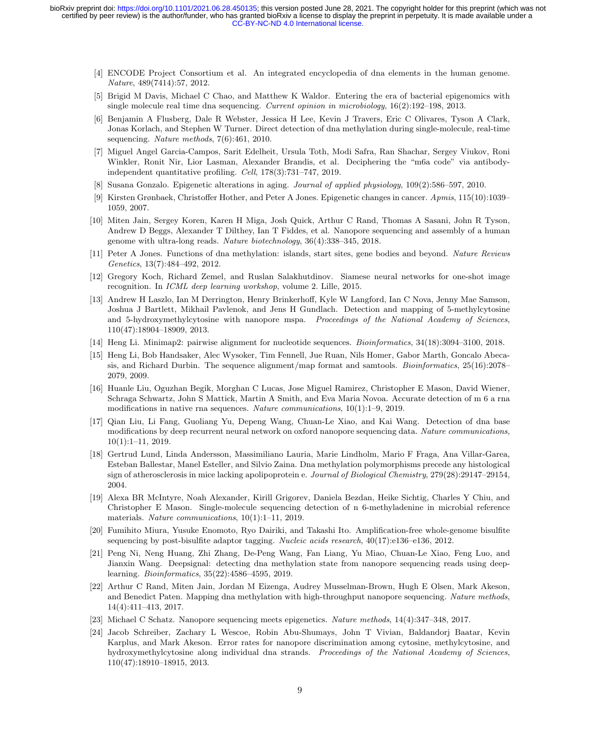- [4] ENCODE Project Consortium et al. An integrated encyclopedia of dna elements in the human genome. Nature, 489(7414):57, 2012.
- [5] Brigid M Davis, Michael C Chao, and Matthew K Waldor. Entering the era of bacterial epigenomics with single molecule real time dna sequencing. Current opinion in microbiology, 16(2):192–198, 2013.
- [6] Benjamin A Flusberg, Dale R Webster, Jessica H Lee, Kevin J Travers, Eric C Olivares, Tyson A Clark, Jonas Korlach, and Stephen W Turner. Direct detection of dna methylation during single-molecule, real-time sequencing. Nature methods, 7(6):461, 2010.
- [7] Miguel Angel Garcia-Campos, Sarit Edelheit, Ursula Toth, Modi Safra, Ran Shachar, Sergey Viukov, Roni Winkler, Ronit Nir, Lior Lasman, Alexander Brandis, et al. Deciphering the "m6a code" via antibodyindependent quantitative profiling. Cell, 178(3):731–747, 2019.
- [8] Susana Gonzalo. Epigenetic alterations in aging. Journal of applied physiology, 109(2):586–597, 2010.
- [9] Kirsten Grønbaek, Christoffer Hother, and Peter A Jones. Epigenetic changes in cancer. Apmis, 115(10):1039– 1059, 2007.
- [10] Miten Jain, Sergey Koren, Karen H Miga, Josh Quick, Arthur C Rand, Thomas A Sasani, John R Tyson, Andrew D Beggs, Alexander T Dilthey, Ian T Fiddes, et al. Nanopore sequencing and assembly of a human genome with ultra-long reads. Nature biotechnology, 36(4):338–345, 2018.
- [11] Peter A Jones. Functions of dna methylation: islands, start sites, gene bodies and beyond. Nature Reviews Genetics, 13(7):484–492, 2012.
- [12] Gregory Koch, Richard Zemel, and Ruslan Salakhutdinov. Siamese neural networks for one-shot image recognition. In ICML deep learning workshop, volume 2. Lille, 2015.
- [13] Andrew H Laszlo, Ian M Derrington, Henry Brinkerhoff, Kyle W Langford, Ian C Nova, Jenny Mae Samson, Joshua J Bartlett, Mikhail Pavlenok, and Jens H Gundlach. Detection and mapping of 5-methylcytosine and 5-hydroxymethylcytosine with nanopore mspa. Proceedings of the National Academy of Sciences, 110(47):18904–18909, 2013.
- [14] Heng Li. Minimap2: pairwise alignment for nucleotide sequences. Bioinformatics, 34(18):3094–3100, 2018.
- [15] Heng Li, Bob Handsaker, Alec Wysoker, Tim Fennell, Jue Ruan, Nils Homer, Gabor Marth, Goncalo Abecasis, and Richard Durbin. The sequence alignment/map format and samtools. *Bioinformatics*, 25(16):2078– 2079, 2009.
- [16] Huanle Liu, Oguzhan Begik, Morghan C Lucas, Jose Miguel Ramirez, Christopher E Mason, David Wiener, Schraga Schwartz, John S Mattick, Martin A Smith, and Eva Maria Novoa. Accurate detection of m 6 a rna modifications in native rna sequences. Nature communications, 10(1):1–9, 2019.
- [17] Qian Liu, Li Fang, Guoliang Yu, Depeng Wang, Chuan-Le Xiao, and Kai Wang. Detection of dna base modifications by deep recurrent neural network on oxford nanopore sequencing data. Nature communications, 10(1):1–11, 2019.
- [18] Gertrud Lund, Linda Andersson, Massimiliano Lauria, Marie Lindholm, Mario F Fraga, Ana Villar-Garea, Esteban Ballestar, Manel Esteller, and Silvio Zaina. Dna methylation polymorphisms precede any histological sign of atherosclerosis in mice lacking apolipoprotein e. Journal of Biological Chemistry, 279(28):29147–29154, 2004.
- [19] Alexa BR McIntyre, Noah Alexander, Kirill Grigorev, Daniela Bezdan, Heike Sichtig, Charles Y Chiu, and Christopher E Mason. Single-molecule sequencing detection of n 6-methyladenine in microbial reference materials. Nature communications,  $10(1):1-11$ , 2019.
- [20] Fumihito Miura, Yusuke Enomoto, Ryo Dairiki, and Takashi Ito. Amplification-free whole-genome bisulfite sequencing by post-bisulfite adaptor tagging. Nucleic acids research,  $40(17)$ :e136–e136, 2012.
- [21] Peng Ni, Neng Huang, Zhi Zhang, De-Peng Wang, Fan Liang, Yu Miao, Chuan-Le Xiao, Feng Luo, and Jianxin Wang. Deepsignal: detecting dna methylation state from nanopore sequencing reads using deeplearning. Bioinformatics, 35(22):4586–4595, 2019.
- [22] Arthur C Rand, Miten Jain, Jordan M Eizenga, Audrey Musselman-Brown, Hugh E Olsen, Mark Akeson, and Benedict Paten. Mapping dna methylation with high-throughput nanopore sequencing. Nature methods, 14(4):411–413, 2017.
- [23] Michael C Schatz. Nanopore sequencing meets epigenetics. Nature methods, 14(4):347–348, 2017.
- [24] Jacob Schreiber, Zachary L Wescoe, Robin Abu-Shumays, John T Vivian, Baldandorj Baatar, Kevin Karplus, and Mark Akeson. Error rates for nanopore discrimination among cytosine, methylcytosine, and hydroxymethylcytosine along individual dna strands. Proceedings of the National Academy of Sciences, 110(47):18910–18915, 2013.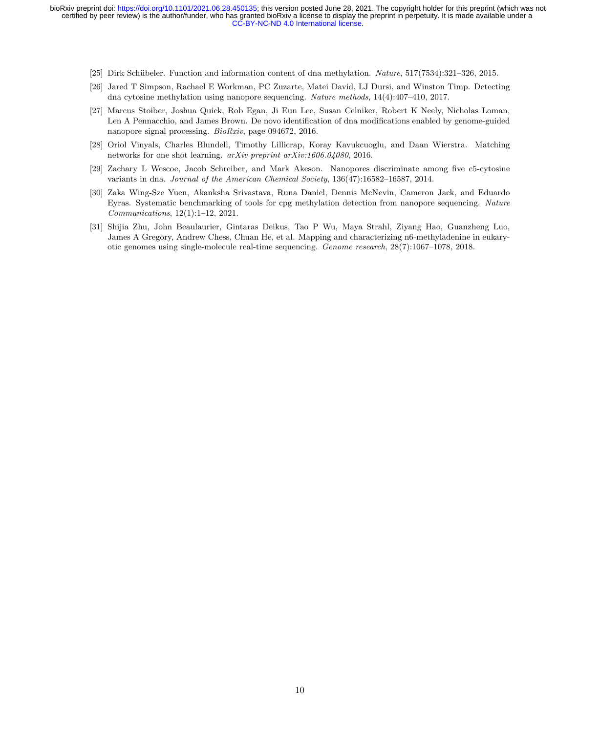- [25] Dirk Sch¨ubeler. Function and information content of dna methylation. Nature, 517(7534):321–326, 2015.
- [26] Jared T Simpson, Rachael E Workman, PC Zuzarte, Matei David, LJ Dursi, and Winston Timp. Detecting dna cytosine methylation using nanopore sequencing. Nature methods, 14(4):407–410, 2017.
- [27] Marcus Stoiber, Joshua Quick, Rob Egan, Ji Eun Lee, Susan Celniker, Robert K Neely, Nicholas Loman, Len A Pennacchio, and James Brown. De novo identification of dna modifications enabled by genome-guided nanopore signal processing. BioRxiv, page 094672, 2016.
- [28] Oriol Vinyals, Charles Blundell, Timothy Lillicrap, Koray Kavukcuoglu, and Daan Wierstra. Matching networks for one shot learning. *arXiv preprint arXiv:1606.04080*, 2016.
- [29] Zachary L Wescoe, Jacob Schreiber, and Mark Akeson. Nanopores discriminate among five c5-cytosine variants in dna. Journal of the American Chemical Society, 136(47):16582–16587, 2014.
- [30] Zaka Wing-Sze Yuen, Akanksha Srivastava, Runa Daniel, Dennis McNevin, Cameron Jack, and Eduardo Eyras. Systematic benchmarking of tools for cpg methylation detection from nanopore sequencing. Nature Communications, 12(1):1–12, 2021.
- [31] Shijia Zhu, John Beaulaurier, Gintaras Deikus, Tao P Wu, Maya Strahl, Ziyang Hao, Guanzheng Luo, James A Gregory, Andrew Chess, Chuan He, et al. Mapping and characterizing n6-methyladenine in eukaryotic genomes using single-molecule real-time sequencing. Genome research, 28(7):1067–1078, 2018.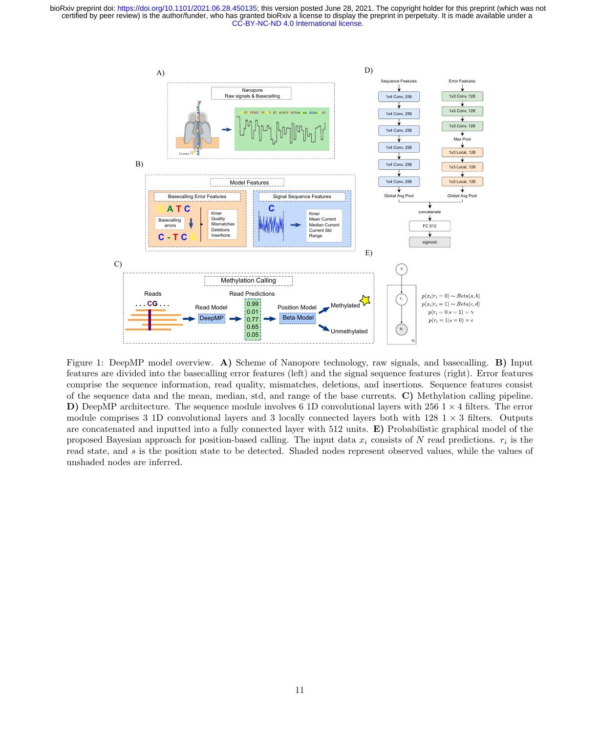

Figure 1: DeepMP model overview. A) Scheme of Nanopore technology, raw signals, and basecalling. B) Input features are divided into the basecalling error features (left) and the signal sequence features (right). Error features comprise the sequence information, read quality, mismatches, deletions, and insertions. Sequence features consist of the sequence data and the mean, median, std, and range of the base currents. C) Methylation calling pipeline. D) DeepMP architecture. The sequence module involves 6 1D convolutional layers with 256  $1 \times 4$  filters. The error module comprises 3 1D convolutional layers and 3 locally connected layers both with  $128 \text{ 1} \times 3$  filters. Outputs are concatenated and inputted into a fully connected layer with 512 units. E) Probabilistic graphical model of the proposed Bayesian approach for position-based calling. The input data  $x_i$  consists of N read predictions.  $r_i$  is the read state, and s is the position state to be detected. Shaded nodes represent observed values, while the values of unshaded nodes are inferred.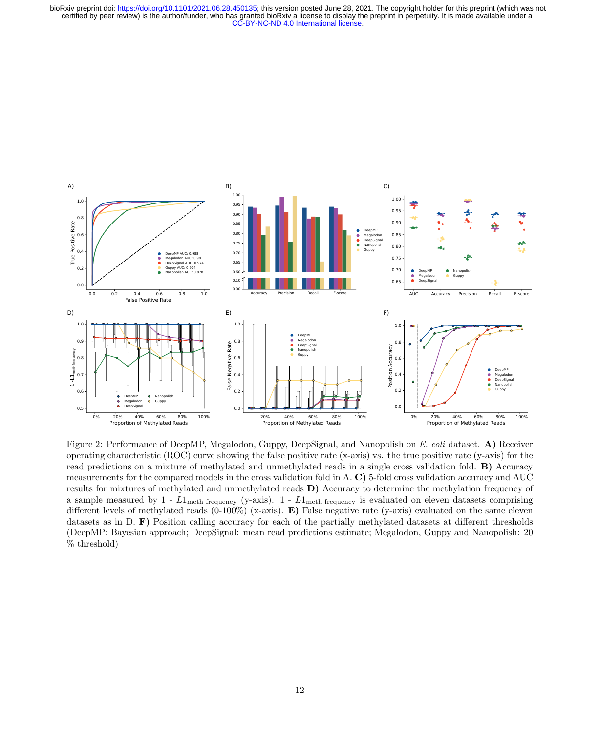

Figure 2: Performance of DeepMP, Megalodon, Guppy, DeepSignal, and Nanopolish on E. coli dataset. A) Receiver operating characteristic (ROC) curve showing the false positive rate (x-axis) vs. the true positive rate (y-axis) for the read predictions on a mixture of methylated and unmethylated reads in a single cross validation fold. B) Accuracy measurements for the compared models in the cross validation fold in A. C) 5-fold cross validation accuracy and AUC results for mixtures of methylated and unmethylated reads D) Accuracy to determine the methylation frequency of a sample measured by  $1$  -  $L1_{\text{meth frequency}}$  (y-axis).  $1$  -  $L1_{\text{meth frequency}}$  is evaluated on eleven datasets comprising different levels of methylated reads  $(0-100\%)$  (x-axis). E) False negative rate (y-axis) evaluated on the same eleven datasets as in D. F) Position calling accuracy for each of the partially methylated datasets at different thresholds (DeepMP: Bayesian approach; DeepSignal: mean read predictions estimate; Megalodon, Guppy and Nanopolish: 20 % threshold)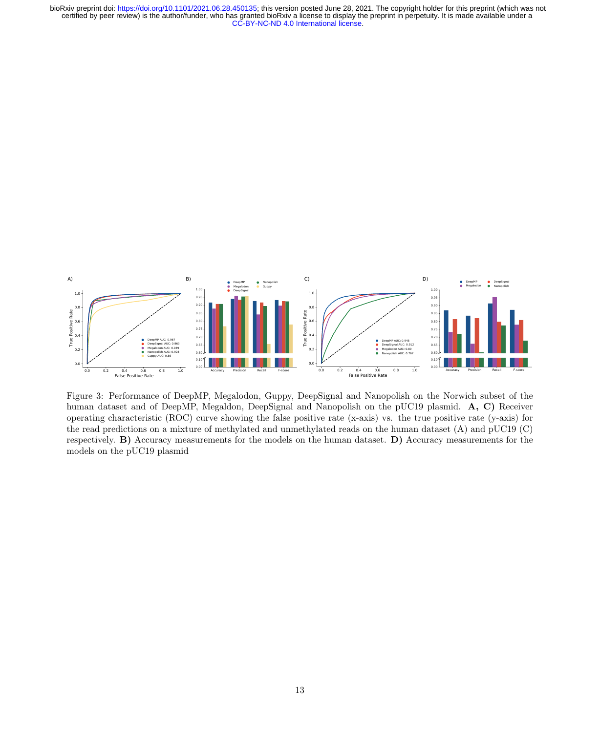

Figure 3: Performance of DeepMP, Megalodon, Guppy, DeepSignal and Nanopolish on the Norwich subset of the human dataset and of DeepMP, Megaldon, DeepSignal and Nanopolish on the pUC19 plasmid. A, C) Receiver operating characteristic (ROC) curve showing the false positive rate (x-axis) vs. the true positive rate (y-axis) for the read predictions on a mixture of methylated and unmethylated reads on the human dataset (A) and pUC19 (C) respectively. B) Accuracy measurements for the models on the human dataset. D) Accuracy measurements for the models on the pUC19 plasmid